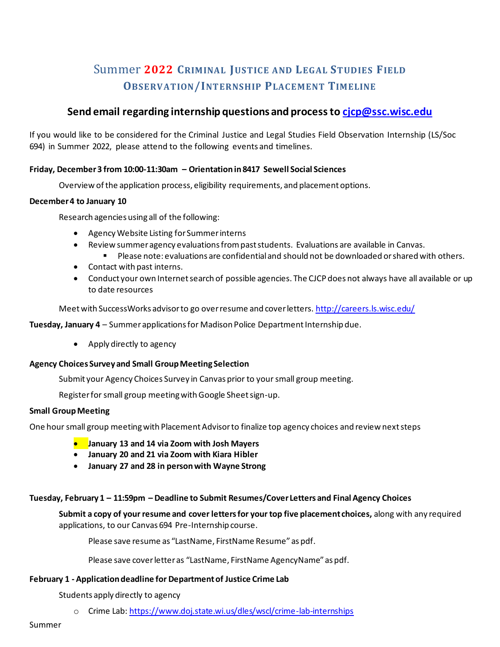# Summer **2022 CRIMINAL JUSTICE AND LEGAL STUDIES FIELD OBSERVATION/INTERNSHIP PLACEMENT TIMELINE**

# **Send email regarding internship questions and process to cjcp@ssc.wisc.edu**

If you would like to be considered for the Criminal Justice and Legal Studies Field Observation Internship (LS/Soc 694) in Summer 2022, please attend to the following events and timelines.

# **Friday, December 3 from 10:00-11:30am – Orientation in 8417 Sewell Social Sciences**

Overview of the application process, eligibility requirements, and placement options.

# **December 4 to January 10**

Research agencies using all of the following:

- Agency Website Listing for Summer interns
- Review summer agency evaluations from past students. Evaluations are available in Canvas.
	- Please note: evaluations are confidential and should not be downloaded or shared with others.
- Contact with past interns.
- Conduct your own Internet search of possible agencies. The CJCP does not always have all available or up to date resources

Meet with SuccessWorks advisor to go over resume and cover letters. http://careers.ls.wisc.edu/

**Tuesday, January 4** – Summer applications for Madison Police Department Internship due.

• Apply directly to agency

# **Agency Choices Survey and Small Group Meeting Selection**

Submit your Agency Choices Survey in Canvas prior to your small group meeting.

Register for small group meeting with Google Sheet sign-up.

# **Small Group Meeting**

One hour small group meeting with Placement Advisor to finalize top agency choices and review next steps

- **January 13 and 14 via Zoom with Josh Mayers**
- **January 20 and 21 via Zoom with Kiara Hibler**
- **January 27 and 28 in person with Wayne Strong**

# **Tuesday, February 1 – 11:59pm – Deadline to Submit Resumes/Cover Letters and Final Agency Choices**

**Submit a copy of your resume and cover letters for your top five placement choices,** along with any required applications, to our Canvas 694 Pre-Internship course.

Please save resume as "LastName, FirstName Resume" as pdf.

Please save cover letter as "LastName, FirstName AgencyName" as pdf.

# **February 1 - Application deadline for Department of Justice Crime Lab**

Students apply directly to agency

o Crime Lab: https://www.doj.state.wi.us/dles/wscl/crime-lab-internships